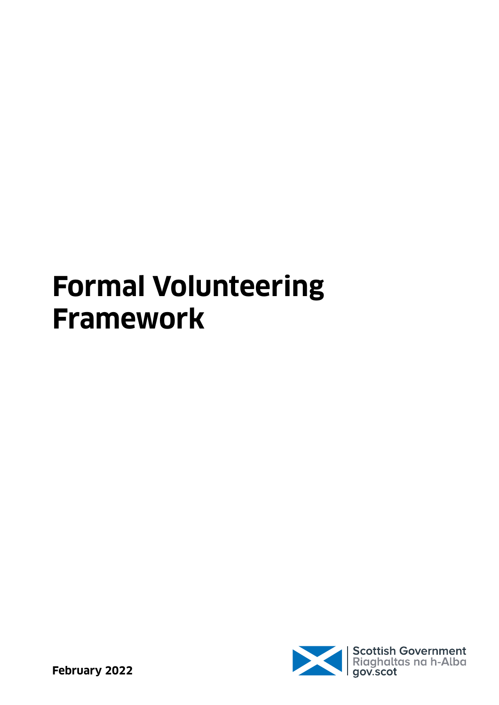# **Formal Volunteering Framework**

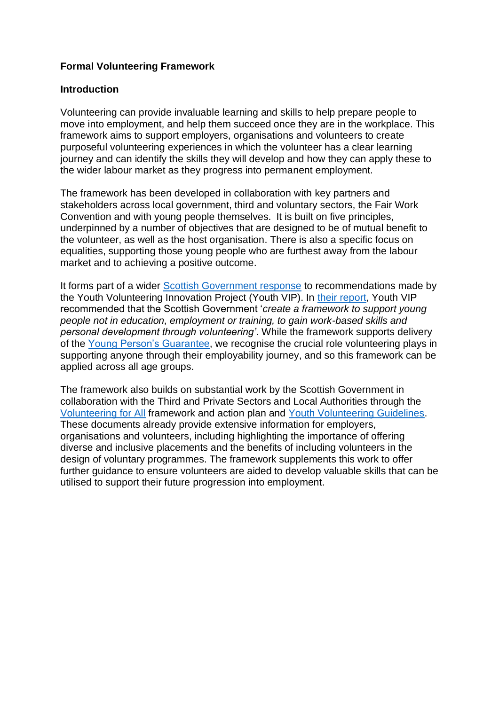# **Formal Volunteering Framework**

#### **Introduction**

Volunteering can provide invaluable learning and skills to help prepare people to move into employment, and help them succeed once they are in the workplace. This framework aims to support employers, organisations and volunteers to create purposeful volunteering experiences in which the volunteer has a clear learning journey and can identify the skills they will develop and how they can apply these to the wider labour market as they progress into permanent employment.

The framework has been developed in collaboration with key partners and stakeholders across local government, third and voluntary sectors, the Fair Work Convention and with young people themselves. It is built on five principles, underpinned by a number of objectives that are designed to be of mutual benefit to the volunteer, as well as the host organisation. There is also a specific focus on equalities, supporting those young people who are furthest away from the labour market and to achieving a positive outcome.

It forms part of a wider [Scottish Government response](https://www.gov.scot/publications/scottish-government-response-youth-volunteering-innovation-project-youth-vip-report-recommendations/documents/) to recommendations made by the Youth Volunteering Innovation Project (Youth VIP). In [their report,](https://www.projectscotland.co.uk/wp-content/uploads/2019/03/YouthVIP_Report.pdf) Youth VIP recommended that the Scottish Government '*create a framework to support young people not in education, employment or training, to gain work-based skills and personal development through volunteering'*. While the framework supports delivery of the [Young Person's Guarantee,](https://youngpersonsguarantee.scot/) we recognise the crucial role volunteering plays in supporting anyone through their employability journey, and so this framework can be applied across all age groups.

The framework also builds on substantial work by the Scottish Government in collaboration with the Third and Private Sectors and Local Authorities through the [Volunteering for All](https://www.gov.scot/publications/volunteering-national-framework/pages/1/) framework and action plan and [Youth Volunteering Guidelines.](https://www.gov.scot/publications/youth-volunteering-guidelines/pages/5/) These documents already provide extensive information for employers, organisations and volunteers, including highlighting the importance of offering diverse and inclusive placements and the benefits of including volunteers in the design of voluntary programmes. The framework supplements this work to offer further guidance to ensure volunteers are aided to develop valuable skills that can be utilised to support their future progression into employment.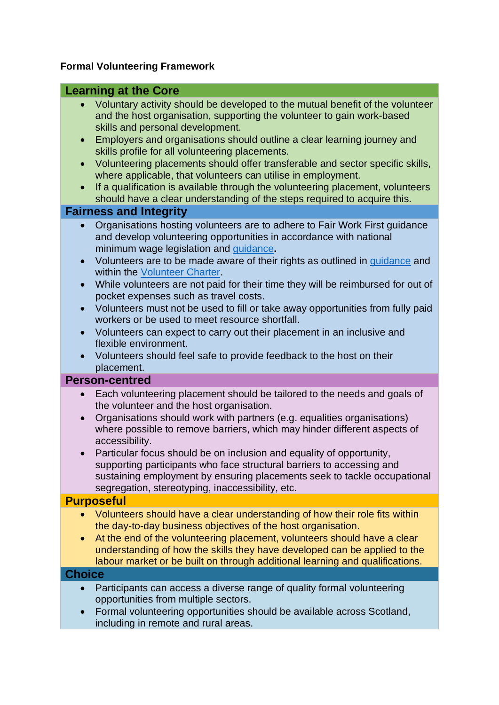# **Formal Volunteering Framework**

# **Learning at the Core**

- Voluntary activity should be developed to the mutual benefit of the volunteer and the host organisation, supporting the volunteer to gain work-based skills and personal development.
- Employers and organisations should outline a clear learning journey and skills profile for all volunteering placements.
- Volunteering placements should offer transferable and sector specific skills, where applicable, that volunteers can utilise in employment.
- If a qualification is available through the volunteering placement, volunteers should have a clear understanding of the steps required to acquire this.

# **Fairness and Integrity**

- Organisations hosting volunteers are to adhere to Fair Work First guidance and develop volunteering opportunities in accordance with national minimum wage legislation and [guidance](https://www.gov.uk/guidance/national-minimum-wage-work-experience-and-internships)**.**
- Volunteers are to be made aware of their rights as outlined in quidance and within the [Volunteer Charter.](https://www.volunteerscotland.net/terms-conditions/a-volunteer-charter/)
- While volunteers are not paid for their time they will be reimbursed for out of pocket expenses such as travel costs.
- Volunteers must not be used to fill or take away opportunities from fully paid workers or be used to meet resource shortfall.
- Volunteers can expect to carry out their placement in an inclusive and flexible environment.
- Volunteers should feel safe to provide feedback to the host on their placement.

## **Person-centred**

- Each volunteering placement should be tailored to the needs and goals of the volunteer and the host organisation.
- Organisations should work with partners (e.g. equalities organisations) where possible to remove barriers, which may hinder different aspects of accessibility.
- Particular focus should be on inclusion and equality of opportunity, supporting participants who face structural barriers to accessing and sustaining employment by ensuring placements seek to tackle occupational segregation, stereotyping, inaccessibility, etc.

## **Purposeful**

- Volunteers should have a clear understanding of how their role fits within the day-to-day business objectives of the host organisation.
- At the end of the volunteering placement, volunteers should have a clear understanding of how the skills they have developed can be applied to the labour market or be built on through additional learning and qualifications.

## **Choice**

- Participants can access a diverse range of quality formal volunteering opportunities from multiple sectors.
- Formal volunteering opportunities should be available across Scotland, including in remote and rural areas.